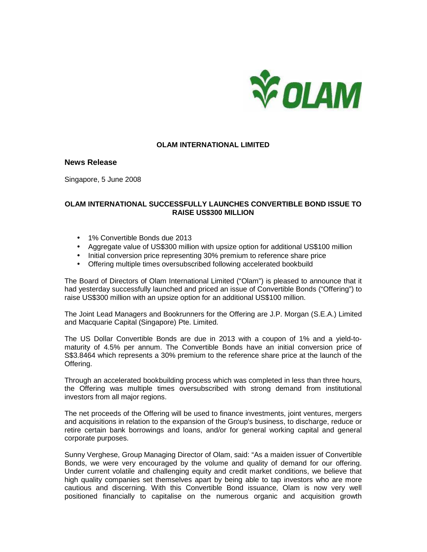

### **OLAM INTERNATIONAL LIMITED**

## **News Release**

Singapore, 5 June 2008

# **OLAM INTERNATIONAL SUCCESSFULLY LAUNCHES CONVERTIBLE BOND ISSUE TO RAISE US\$300 MILLION**

- 1% Convertible Bonds due 2013
- Aggregate value of US\$300 million with upsize option for additional US\$100 million
- Initial conversion price representing 30% premium to reference share price
- Offering multiple times oversubscribed following accelerated bookbuild

The Board of Directors of Olam International Limited ("Olam") is pleased to announce that it had yesterday successfully launched and priced an issue of Convertible Bonds ("Offering") to raise US\$300 million with an upsize option for an additional US\$100 million.

The Joint Lead Managers and Bookrunners for the Offering are J.P. Morgan (S.E.A.) Limited and Macquarie Capital (Singapore) Pte. Limited.

The US Dollar Convertible Bonds are due in 2013 with a coupon of 1% and a yield-tomaturity of 4.5% per annum. The Convertible Bonds have an initial conversion price of S\$3.8464 which represents a 30% premium to the reference share price at the launch of the Offering.

Through an accelerated bookbuilding process which was completed in less than three hours, the Offering was multiple times oversubscribed with strong demand from institutional investors from all major regions.

The net proceeds of the Offering will be used to finance investments, joint ventures, mergers and acquisitions in relation to the expansion of the Group's business, to discharge, reduce or retire certain bank borrowings and loans, and/or for general working capital and general corporate purposes.

Sunny Verghese, Group Managing Director of Olam, said: "As a maiden issuer of Convertible Bonds, we were very encouraged by the volume and quality of demand for our offering. Under current volatile and challenging equity and credit market conditions, we believe that high quality companies set themselves apart by being able to tap investors who are more cautious and discerning. With this Convertible Bond issuance, Olam is now very well positioned financially to capitalise on the numerous organic and acquisition growth